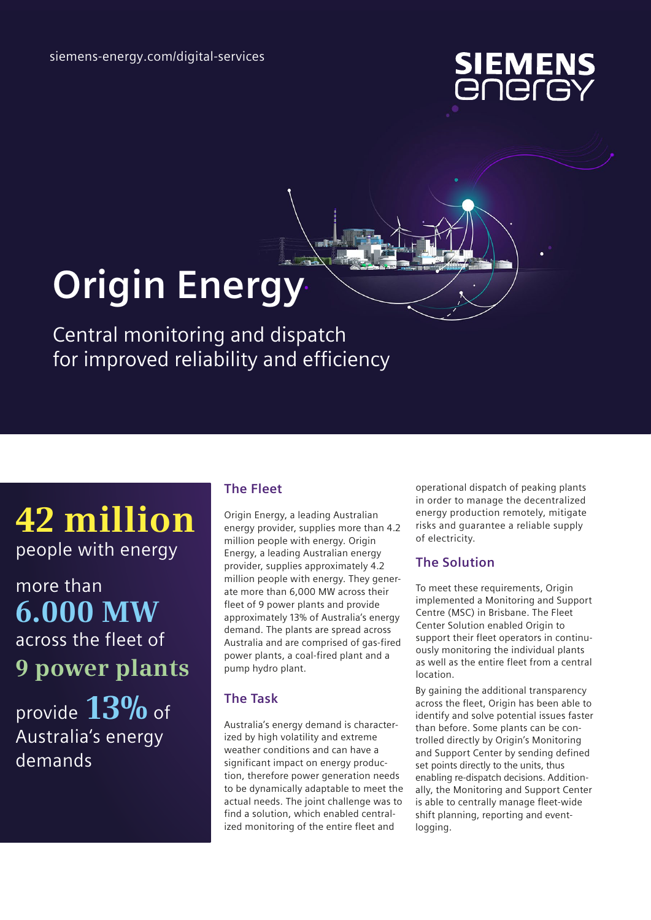

# **Origin Energy**

Central monitoring and dispatch for improved reliability and efficiency

# **42 million** people with energy

more than **6.000 MW** across the fleet of **9 power plants**

provide **13%** of Australia's energy demands

## **The Fleet**

Origin Energy, a leading Australian energy provider, supplies more than 4.2 million people with energy. Origin Energy, a leading Australian energy provider, supplies approximately 4.2 million people with energy. They generate more than 6,000 MW across their fleet of 9 power plants and provide approximately 13% of Australia's energy demand. The plants are spread across Australia and are comprised of gas-fired power plants, a coal-fired plant and a pump hydro plant.

## **The Task**

Australia's energy demand is characterized by high volatility and extreme weather conditions and can have a significant impact on energy production, therefore power generation needs to be dynamically adaptable to meet the actual needs. The joint challenge was to find a solution, which enabled centralized monitoring of the entire fleet and

operational dispatch of peaking plants in order to manage the decentralized energy production remotely, mitigate risks and guarantee a reliable supply of electricity.

#### **The Solution**

To meet these requirements, Origin implemented a Monitoring and Support Centre (MSC) in Brisbane. The Fleet Center Solution enabled Origin to support their fleet operators in continuously monitoring the individual plants as well as the entire fleet from a central location.

By gaining the additional transparency across the fleet, Origin has been able to identify and solve potential issues faster than before. Some plants can be controlled directly by Origin's Monitoring and Support Center by sending defined set points directly to the units, thus enabling re-dispatch decisions. Additionally, the Monitoring and Support Center is able to centrally manage fleet-wide shift planning, reporting and eventlogging.